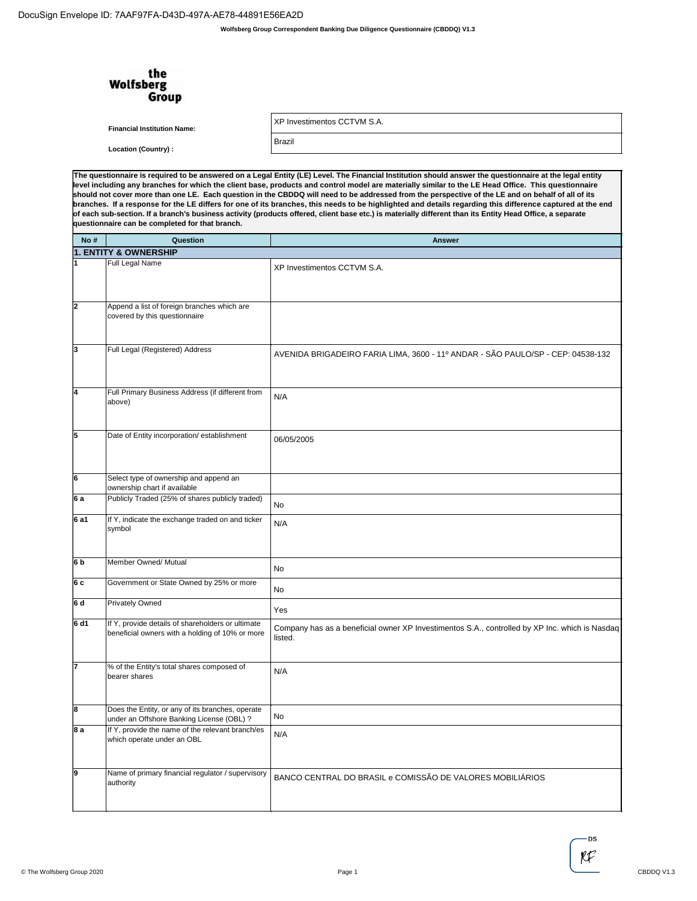DocuSign Envelope ID: 7AAF97FA-D43D-497A-AE78-44891E56EA2D

|      | the<br><b>Wolfsberg</b><br>Group                                                                     |                                                                                                                                                                                                                                                                                                                                                                                                                                                                                                                                                                                                                                                                                                                                                                                                  |
|------|------------------------------------------------------------------------------------------------------|--------------------------------------------------------------------------------------------------------------------------------------------------------------------------------------------------------------------------------------------------------------------------------------------------------------------------------------------------------------------------------------------------------------------------------------------------------------------------------------------------------------------------------------------------------------------------------------------------------------------------------------------------------------------------------------------------------------------------------------------------------------------------------------------------|
|      | <b>Financial Institution Name:</b>                                                                   | XP Investimentos CCTVM S.A.                                                                                                                                                                                                                                                                                                                                                                                                                                                                                                                                                                                                                                                                                                                                                                      |
|      | <b>Location (Country):</b>                                                                           | Brazil                                                                                                                                                                                                                                                                                                                                                                                                                                                                                                                                                                                                                                                                                                                                                                                           |
|      |                                                                                                      |                                                                                                                                                                                                                                                                                                                                                                                                                                                                                                                                                                                                                                                                                                                                                                                                  |
|      | questionnaire can be completed for that branch.                                                      | The questionnaire is required to be answered on a Legal Entity (LE) Level. The Financial Institution should answer the questionnaire at the legal entity<br>level including any branches for which the client base, products and control model are materially similar to the LE Head Office. This questionnaire<br>should not cover more than one LE. Each question in the CBDDQ will need to be addressed from the perspective of the LE and on behalf of all of its<br>branches. If a response for the LE differs for one of its branches, this needs to be highlighted and details regarding this difference captured at the end<br>of each sub-section. If a branch's business activity (products offered, client base etc.) is materially different than its Entity Head Office, a separate |
| No#  | Question                                                                                             | <b>Answer</b>                                                                                                                                                                                                                                                                                                                                                                                                                                                                                                                                                                                                                                                                                                                                                                                    |
|      | <b>1. ENTITY &amp; OWNERSHIP</b>                                                                     |                                                                                                                                                                                                                                                                                                                                                                                                                                                                                                                                                                                                                                                                                                                                                                                                  |
|      | Full Legal Name                                                                                      | XP Investimentos CCTVM S.A.                                                                                                                                                                                                                                                                                                                                                                                                                                                                                                                                                                                                                                                                                                                                                                      |
| 2    | Append a list of foreign branches which are<br>covered by this questionnaire                         |                                                                                                                                                                                                                                                                                                                                                                                                                                                                                                                                                                                                                                                                                                                                                                                                  |
| 3    | Full Legal (Registered) Address                                                                      | AVENIDA BRIGADEIRO FARIA LIMA, 3600 - 11º ANDAR - SÃO PAULO/SP - CEP: 04538-132                                                                                                                                                                                                                                                                                                                                                                                                                                                                                                                                                                                                                                                                                                                  |
| 4    | Full Primary Business Address (if different from<br>above)                                           | N/A                                                                                                                                                                                                                                                                                                                                                                                                                                                                                                                                                                                                                                                                                                                                                                                              |
| 5    | Date of Entity incorporation/ establishment                                                          | 06/05/2005                                                                                                                                                                                                                                                                                                                                                                                                                                                                                                                                                                                                                                                                                                                                                                                       |
| 6    | Select type of ownership and append an<br>ownership chart if available                               |                                                                                                                                                                                                                                                                                                                                                                                                                                                                                                                                                                                                                                                                                                                                                                                                  |
| 6 a  | Publicly Traded (25% of shares publicly traded)                                                      | <b>No</b>                                                                                                                                                                                                                                                                                                                                                                                                                                                                                                                                                                                                                                                                                                                                                                                        |
| 6 a1 | If Y, indicate the exchange traded on and ticker<br>symbol                                           | N/A                                                                                                                                                                                                                                                                                                                                                                                                                                                                                                                                                                                                                                                                                                                                                                                              |
| 6b   | Member Owned/ Mutual                                                                                 | No                                                                                                                                                                                                                                                                                                                                                                                                                                                                                                                                                                                                                                                                                                                                                                                               |
| 6 c  | Government or State Owned by 25% or more                                                             | No                                                                                                                                                                                                                                                                                                                                                                                                                                                                                                                                                                                                                                                                                                                                                                                               |
| 6d   | <b>Privately Owned</b>                                                                               | Yes                                                                                                                                                                                                                                                                                                                                                                                                                                                                                                                                                                                                                                                                                                                                                                                              |
| 6 d1 | If Y, provide details of shareholders or ultimate<br>beneficial owners with a holding of 10% or more | Company has as a beneficial owner XP Investimentos S.A., controlled by XP Inc. which is Nasdag<br>listed.                                                                                                                                                                                                                                                                                                                                                                                                                                                                                                                                                                                                                                                                                        |
|      | % of the Entity's total shares composed of<br>bearer shares                                          | N/A                                                                                                                                                                                                                                                                                                                                                                                                                                                                                                                                                                                                                                                                                                                                                                                              |
| 8    | Does the Entity, or any of its branches, operate<br>under an Offshore Banking License (OBL) ?        | No                                                                                                                                                                                                                                                                                                                                                                                                                                                                                                                                                                                                                                                                                                                                                                                               |
| 8 a  | If Y, provide the name of the relevant branch/es<br>which operate under an OBL                       | N/A                                                                                                                                                                                                                                                                                                                                                                                                                                                                                                                                                                                                                                                                                                                                                                                              |
| 9    | Name of primary financial regulator / supervisory<br>authority                                       | BANCO CENTRAL DO BRASIL e COMISSÃO DE VALORES MOBILIÁRIOS                                                                                                                                                                                                                                                                                                                                                                                                                                                                                                                                                                                                                                                                                                                                        |

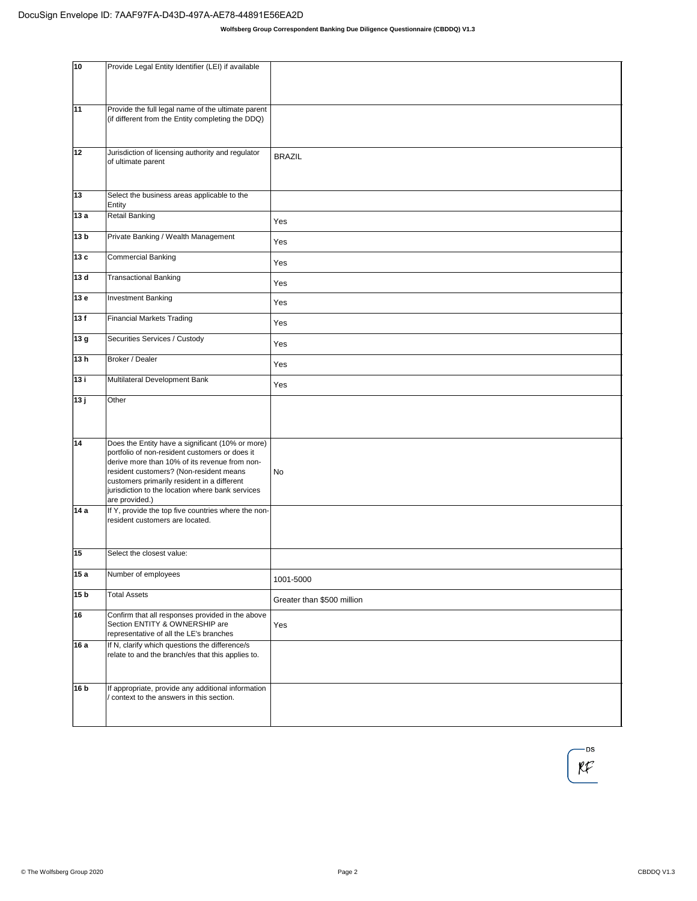| 10              | Provide Legal Entity Identifier (LEI) if available                                                                                                                                                                                                                                                                  |                            |
|-----------------|---------------------------------------------------------------------------------------------------------------------------------------------------------------------------------------------------------------------------------------------------------------------------------------------------------------------|----------------------------|
| 11              | Provide the full legal name of the ultimate parent<br>(if different from the Entity completing the DDQ)                                                                                                                                                                                                             |                            |
| 12              | Jurisdiction of licensing authority and regulator<br>of ultimate parent                                                                                                                                                                                                                                             | <b>BRAZIL</b>              |
| 13              | Select the business areas applicable to the<br>Entity                                                                                                                                                                                                                                                               |                            |
| 13a             | Retail Banking                                                                                                                                                                                                                                                                                                      | Yes                        |
| 13 <sub>b</sub> | Private Banking / Wealth Management                                                                                                                                                                                                                                                                                 | Yes                        |
| 13c             | Commercial Banking                                                                                                                                                                                                                                                                                                  | Yes                        |
| 13d             | Transactional Banking                                                                                                                                                                                                                                                                                               | Yes                        |
| 13e             | <b>Investment Banking</b>                                                                                                                                                                                                                                                                                           | Yes                        |
| 13f             | <b>Financial Markets Trading</b>                                                                                                                                                                                                                                                                                    | Yes                        |
| 13g             | Securities Services / Custody                                                                                                                                                                                                                                                                                       | Yes                        |
| 13h             | Broker / Dealer                                                                                                                                                                                                                                                                                                     | Yes                        |
| 13i             | Multilateral Development Bank                                                                                                                                                                                                                                                                                       | Yes                        |
| 13j             | Other                                                                                                                                                                                                                                                                                                               |                            |
| 14              | Does the Entity have a significant (10% or more)<br>portfolio of non-resident customers or does it<br>derive more than 10% of its revenue from non-<br>resident customers? (Non-resident means<br>customers primarily resident in a different<br>jurisdiction to the location where bank services<br>are provided.) | No                         |
| 14a             | If Y, provide the top five countries where the non-<br>resident customers are located.                                                                                                                                                                                                                              |                            |
| 15              | Select the closest value:                                                                                                                                                                                                                                                                                           |                            |
| 15a             | Number of employees                                                                                                                                                                                                                                                                                                 | 1001-5000                  |
| 15 <sub>b</sub> | <b>Total Assets</b>                                                                                                                                                                                                                                                                                                 | Greater than \$500 million |
| 16              | Confirm that all responses provided in the above<br>Section ENTITY & OWNERSHIP are<br>representative of all the LE's branches                                                                                                                                                                                       | Yes                        |
| 16a             | If N, clarify which questions the difference/s<br>relate to and the branch/es that this applies to.                                                                                                                                                                                                                 |                            |
| 16 b            | If appropriate, provide any additional information<br>/ context to the answers in this section.                                                                                                                                                                                                                     |                            |

-DS  $\mathfrak{K}$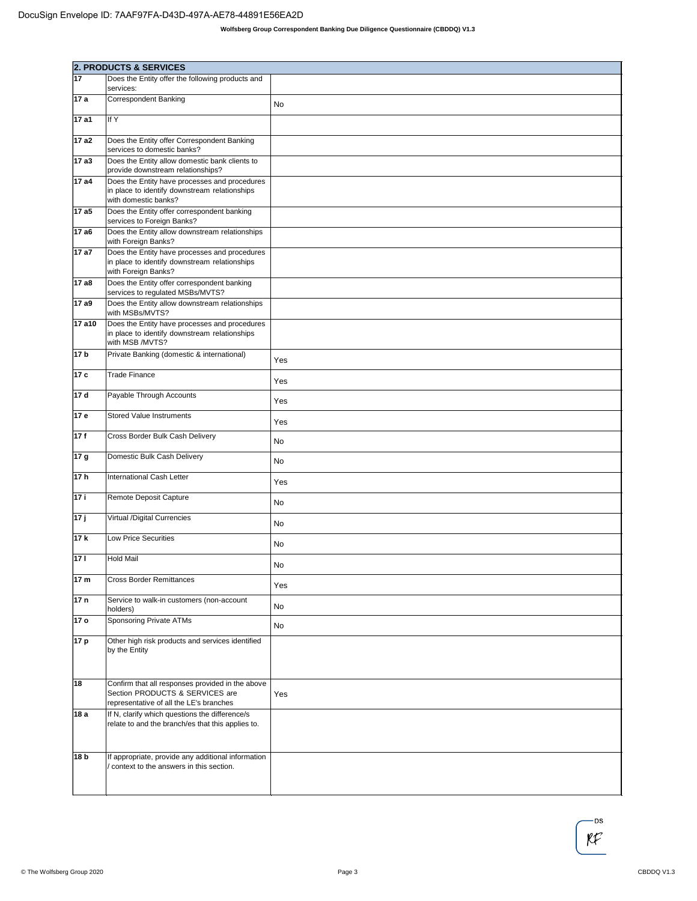|                 | <b>2. PRODUCTS &amp; SERVICES</b>                                                                                              |           |  |
|-----------------|--------------------------------------------------------------------------------------------------------------------------------|-----------|--|
| 17              | Does the Entity offer the following products and                                                                               |           |  |
| 17 a            | services:<br><b>Correspondent Banking</b>                                                                                      |           |  |
|                 |                                                                                                                                | No        |  |
| 17 a1           | If Y                                                                                                                           |           |  |
| 17 a2           | Does the Entity offer Correspondent Banking<br>services to domestic banks?                                                     |           |  |
| 17 a3           | Does the Entity allow domestic bank clients to<br>provide downstream relationships?                                            |           |  |
| 17 a4           | Does the Entity have processes and procedures<br>in place to identify downstream relationships<br>with domestic banks?         |           |  |
| 17 a5           | Does the Entity offer correspondent banking<br>services to Foreign Banks?                                                      |           |  |
| 17 a6           | Does the Entity allow downstream relationships<br>with Foreign Banks?                                                          |           |  |
| 17 a7           | Does the Entity have processes and procedures<br>in place to identify downstream relationships<br>with Foreign Banks?          |           |  |
| 17 a8           | Does the Entity offer correspondent banking<br>services to regulated MSBs/MVTS?                                                |           |  |
| 17 a9           | Does the Entity allow downstream relationships<br>with MSBs/MVTS?                                                              |           |  |
| 17 a10          | Does the Entity have processes and procedures<br>in place to identify downstream relationships<br>with MSB /MVTS?              |           |  |
| 17 b            | Private Banking (domestic & international)                                                                                     | Yes       |  |
| 17 c            | <b>Trade Finance</b>                                                                                                           | Yes       |  |
| 17 d            | Payable Through Accounts                                                                                                       | Yes       |  |
| 17 e            | <b>Stored Value Instruments</b>                                                                                                | Yes       |  |
| 17f             | Cross Border Bulk Cash Delivery                                                                                                | No        |  |
| 17 g            | Domestic Bulk Cash Delivery                                                                                                    | No        |  |
| 17h             | International Cash Letter                                                                                                      | Yes       |  |
| 17 i            | Remote Deposit Capture                                                                                                         | No        |  |
| 17j             | Virtual /Digital Currencies                                                                                                    | No        |  |
| 17k             | <b>Low Price Securities</b>                                                                                                    | No        |  |
| 171             | Hold Mail                                                                                                                      | <b>No</b> |  |
| 17 m            | <b>Cross Border Remittances</b>                                                                                                | Yes       |  |
| 17 <sub>n</sub> | Service to walk-in customers (non-account<br>holders)                                                                          | No        |  |
| 17 o            | Sponsoring Private ATMs                                                                                                        | No        |  |
| 17 p            | Other high risk products and services identified<br>by the Entity                                                              |           |  |
| 18              | Confirm that all responses provided in the above<br>Section PRODUCTS & SERVICES are<br>representative of all the LE's branches | Yes       |  |
| 18 a            | If N, clarify which questions the difference/s<br>relate to and the branch/es that this applies to.                            |           |  |
| 18 b            | If appropriate, provide any additional information<br>context to the answers in this section.                                  |           |  |

-DS  $\mathfrak{K}$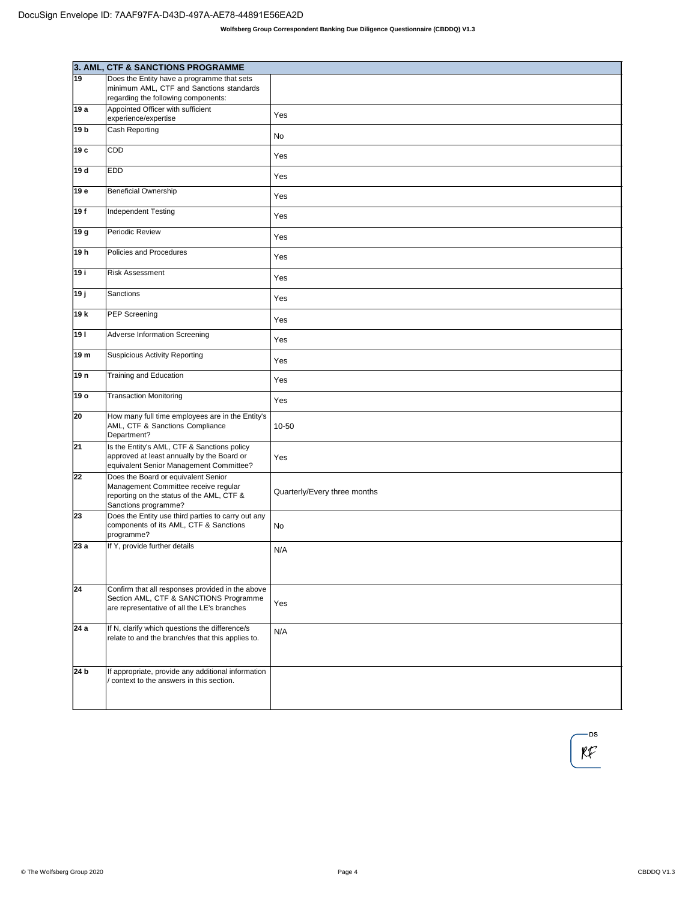|                 | 3. AML, CTF & SANCTIONS PROGRAMME                                                                                                                |                              |
|-----------------|--------------------------------------------------------------------------------------------------------------------------------------------------|------------------------------|
| 19              | Does the Entity have a programme that sets<br>minimum AML, CTF and Sanctions standards<br>regarding the following components:                    |                              |
| 19 a            | Appointed Officer with sufficient                                                                                                                | Yes                          |
| 19 <sub>b</sub> | experience/expertise<br>Cash Reporting                                                                                                           | No                           |
| 19 с            | CDD                                                                                                                                              |                              |
| 19 d            | <b>EDD</b>                                                                                                                                       | Yes                          |
|                 |                                                                                                                                                  | Yes                          |
| 19 e            | <b>Beneficial Ownership</b>                                                                                                                      | Yes                          |
| 19f             | <b>Independent Testing</b>                                                                                                                       | Yes                          |
| 19 g            | Periodic Review                                                                                                                                  | Yes                          |
| 19h             | Policies and Procedures                                                                                                                          | Yes                          |
| 19 i            | <b>Risk Assessment</b>                                                                                                                           | Yes                          |
| 19j             | Sanctions                                                                                                                                        | Yes                          |
| 19 k            | PEP Screening                                                                                                                                    | Yes                          |
| 19              | Adverse Information Screening                                                                                                                    | Yes                          |
| 19 m            | <b>Suspicious Activity Reporting</b>                                                                                                             | Yes                          |
| 19 n            | Training and Education                                                                                                                           | Yes                          |
| 19 o            | <b>Transaction Monitoring</b>                                                                                                                    | Yes                          |
| 20              | How many full time employees are in the Entity's<br>AML, CTF & Sanctions Compliance<br>Department?                                               | 10-50                        |
| 21              | Is the Entity's AML, CTF & Sanctions policy<br>approved at least annually by the Board or<br>equivalent Senior Management Committee?             | Yes                          |
| 22              | Does the Board or equivalent Senior<br>Management Committee receive regular<br>reporting on the status of the AML, CTF &<br>Sanctions programme? | Quarterly/Every three months |
| 23              | Does the Entity use third parties to carry out any<br>components of its AML, CTF & Sanctions<br>programme?                                       | No                           |
| 23a             | If Y, provide further details                                                                                                                    | N/A                          |
| 24              | Confirm that all responses provided in the above<br>Section AML, CTF & SANCTIONS Programme<br>are representative of all the LE's branches        | Yes                          |
| 24a             | If N, clarify which questions the difference/s<br>relate to and the branch/es that this applies to.                                              | N/A                          |
| 24 b            | If appropriate, provide any additional information<br>context to the answers in this section.                                                    |                              |

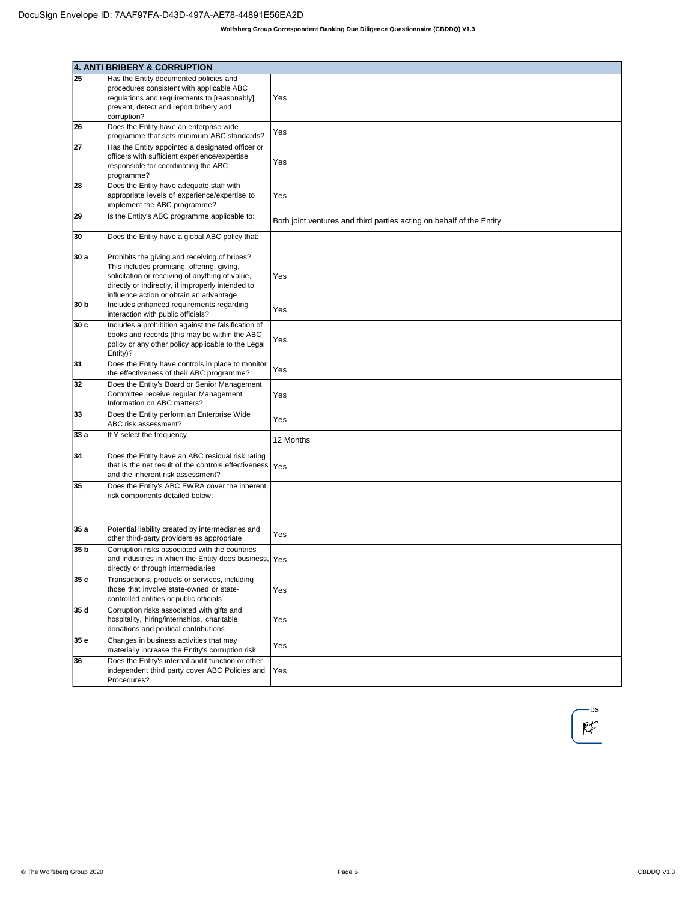|      | 4. ANTI BRIBERY & CORRUPTION                                                                                                                                                                                                                   |                                                                      |
|------|------------------------------------------------------------------------------------------------------------------------------------------------------------------------------------------------------------------------------------------------|----------------------------------------------------------------------|
| 25   | Has the Entity documented policies and                                                                                                                                                                                                         |                                                                      |
|      | procedures consistent with applicable ABC<br>regulations and requirements to [reasonably]<br>prevent, detect and report bribery and<br>corruption?                                                                                             | Yes                                                                  |
| 26   | Does the Entity have an enterprise wide<br>programme that sets minimum ABC standards?                                                                                                                                                          | Yes                                                                  |
| 27   | Has the Entity appointed a designated officer or<br>officers with sufficient experience/expertise<br>responsible for coordinating the ABC<br>programme?                                                                                        | Yes                                                                  |
| 28   | Does the Entity have adequate staff with<br>appropriate levels of experience/expertise to<br>implement the ABC programme?                                                                                                                      | Yes                                                                  |
| 29   | Is the Entity's ABC programme applicable to:                                                                                                                                                                                                   | Both joint ventures and third parties acting on behalf of the Entity |
| 30   | Does the Entity have a global ABC policy that:                                                                                                                                                                                                 |                                                                      |
| 30 a | Prohibits the giving and receiving of bribes?<br>This includes promising, offering, giving,<br>solicitation or receiving of anything of value,<br>directly or indirectly, if improperly intended to<br>influence action or obtain an advantage | Yes                                                                  |
| 30 b | Includes enhanced requirements regarding<br>interaction with public officials?                                                                                                                                                                 | Yes                                                                  |
| 30c  | Includes a prohibition against the falsification of<br>books and records (this may be within the ABC<br>policy or any other policy applicable to the Legal<br>Entity)?                                                                         | Yes                                                                  |
| 31   | Does the Entity have controls in place to monitor<br>the effectiveness of their ABC programme?                                                                                                                                                 | Yes                                                                  |
| 32   | Does the Entity's Board or Senior Management<br>Committee receive regular Management<br>Information on ABC matters?                                                                                                                            | Yes                                                                  |
| 33   | Does the Entity perform an Enterprise Wide<br>ABC risk assessment?                                                                                                                                                                             | Yes                                                                  |
| 33 a | If Y select the frequency                                                                                                                                                                                                                      | 12 Months                                                            |
| 34   | Does the Entity have an ABC residual risk rating<br>that is the net result of the controls effectiveness<br>and the inherent risk assessment?                                                                                                  | Yes                                                                  |
| 35   | Does the Entity's ABC EWRA cover the inherent<br>risk components detailed below:                                                                                                                                                               |                                                                      |
| 35a  | Potential liability created by intermediaries and<br>other third-party providers as appropriate                                                                                                                                                | Yes                                                                  |
| 35 b | Corruption risks associated with the countries<br>and industries in which the Entity does business, Yes<br>directly or through intermediaries                                                                                                  |                                                                      |
| 35 c | Transactions, products or services, including<br>those that involve state-owned or state-<br>controlled entities or public officials                                                                                                           | Yes                                                                  |
| 35 d | Corruption risks associated with gifts and<br>hospitality, hiring/internships, charitable<br>donations and political contributions                                                                                                             | Yes                                                                  |
| 35 e | Changes in business activities that may<br>materially increase the Entity's corruption risk                                                                                                                                                    | Yes                                                                  |
| 36   | Does the Entity's internal audit function or other<br>independent third party cover ABC Policies and<br>Procedures?                                                                                                                            | Yes                                                                  |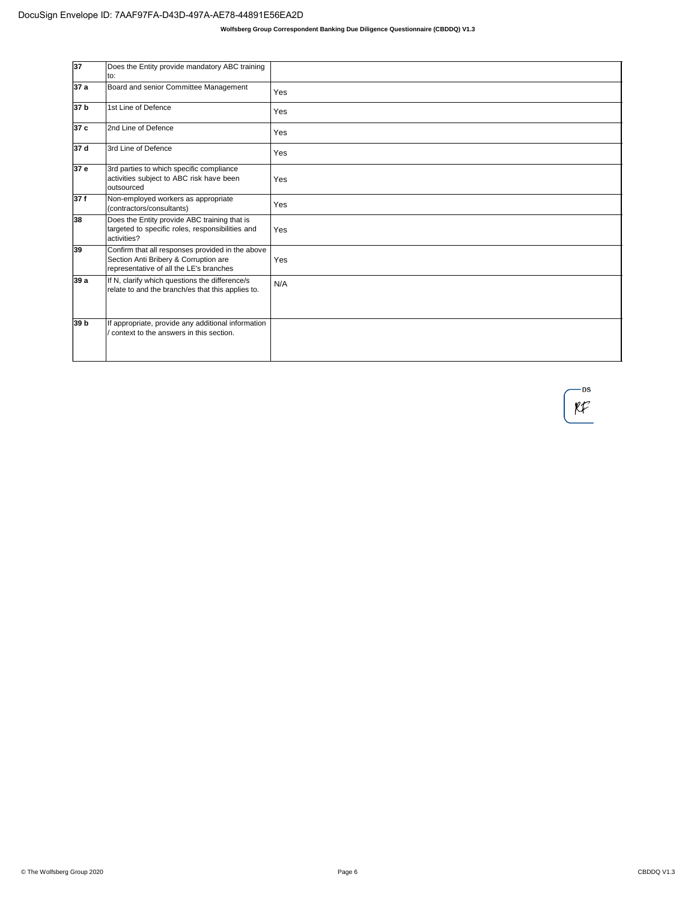| 37   | Does the Entity provide mandatory ABC training<br>to:                                                                                |     |
|------|--------------------------------------------------------------------------------------------------------------------------------------|-----|
| 37a  | Board and senior Committee Management                                                                                                | Yes |
| 37 b | 1st Line of Defence                                                                                                                  | Yes |
| 37 c | 2nd Line of Defence                                                                                                                  | Yes |
| 37 d | 3rd Line of Defence                                                                                                                  | Yes |
| 37 e | 3rd parties to which specific compliance<br>activities subject to ABC risk have been<br>outsourced                                   | Yes |
| 37f  | Non-employed workers as appropriate<br>(contractors/consultants)                                                                     | Yes |
| 38   | Does the Entity provide ABC training that is<br>targeted to specific roles, responsibilities and<br>activities?                      | Yes |
| 39   | Confirm that all responses provided in the above<br>Section Anti Bribery & Corruption are<br>representative of all the LE's branches | Yes |
| 39 a | If N, clarify which questions the difference/s<br>relate to and the branch/es that this applies to.                                  | N/A |
| 39 b | If appropriate, provide any additional information<br>context to the answers in this section.                                        |     |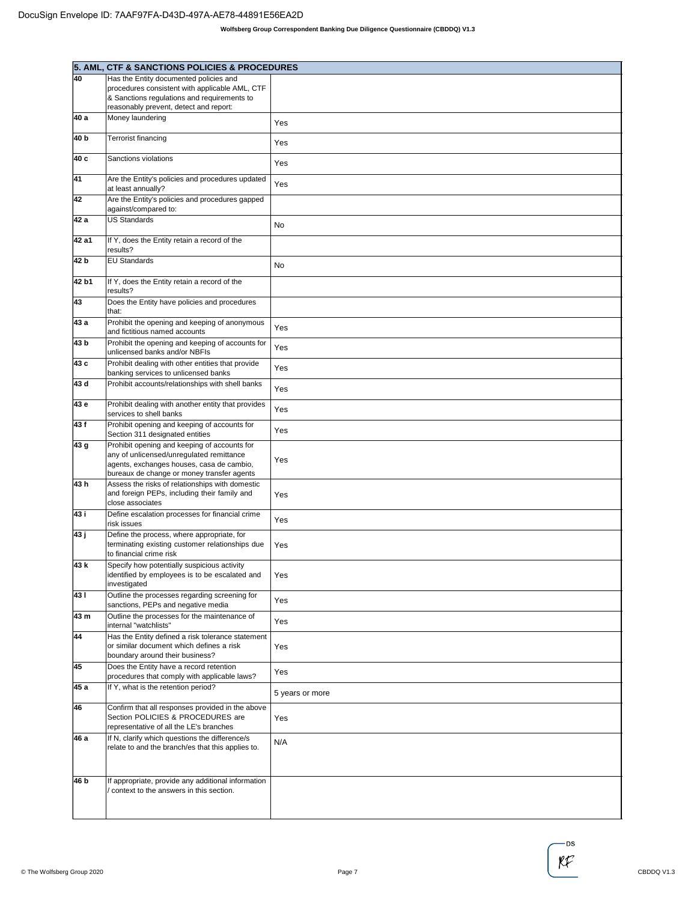|       | 5. AML, CTF & SANCTIONS POLICIES & PROCEDURES                                                                                    |                 |
|-------|----------------------------------------------------------------------------------------------------------------------------------|-----------------|
| 40    | Has the Entity documented policies and                                                                                           |                 |
|       | procedures consistent with applicable AML, CTF                                                                                   |                 |
|       | & Sanctions regulations and requirements to                                                                                      |                 |
|       | reasonably prevent, detect and report:                                                                                           |                 |
| 40 a  | Money laundering                                                                                                                 | Yes             |
| 40 b  | <b>Terrorist financing</b>                                                                                                       | Yes             |
| 40 c  | Sanctions violations                                                                                                             | Yes             |
| 41    | Are the Entity's policies and procedures updated<br>at least annually?                                                           | Yes             |
| 42    | Are the Entity's policies and procedures gapped<br>against/compared to:                                                          |                 |
| 42 a  | <b>US Standards</b>                                                                                                              | No              |
| 42 a1 | If Y, does the Entity retain a record of the<br>results?                                                                         |                 |
| 42 b  | <b>EU Standards</b>                                                                                                              | No              |
| 42 b1 | If Y, does the Entity retain a record of the<br>results?                                                                         |                 |
| 43    | Does the Entity have policies and procedures<br>that:                                                                            |                 |
| 43 a  | Prohibit the opening and keeping of anonymous<br>and fictitious named accounts                                                   | Yes             |
| 43 b  | Prohibit the opening and keeping of accounts for<br>unlicensed banks and/or NBFIs                                                | Yes             |
| 43 c  | Prohibit dealing with other entities that provide<br>banking services to unlicensed banks                                        | Yes             |
| 43 d  | Prohibit accounts/relationships with shell banks                                                                                 | Yes             |
| 43 e  | Prohibit dealing with another entity that provides<br>services to shell banks                                                    | Yes             |
| 43f   | Prohibit opening and keeping of accounts for<br>Section 311 designated entities                                                  | Yes             |
| 43 g  | Prohibit opening and keeping of accounts for                                                                                     |                 |
|       | any of unlicensed/unregulated remittance                                                                                         | Yes             |
|       | agents, exchanges houses, casa de cambio,<br>bureaux de change or money transfer agents                                          |                 |
| 43h   | Assess the risks of relationships with domestic                                                                                  |                 |
|       | and foreign PEPs, including their family and<br>close associates                                                                 | Yes             |
| 43 i  | Define escalation processes for financial crime<br>risk issues                                                                   | Yes             |
| 43 ј  | Define the process, where appropriate, for                                                                                       |                 |
|       | terminating existing customer relationships due<br>to financial crime risk                                                       | Yes             |
| 43 k  | Specify how potentially suspicious activity                                                                                      |                 |
|       | identified by employees is to be escalated and<br>investigated                                                                   | Yes             |
| 431   | Outline the processes regarding screening for<br>sanctions, PEPs and negative media                                              | Yes             |
| 43 m  | Outline the processes for the maintenance of<br>internal "watchlists"                                                            | Yes             |
| 44    | Has the Entity defined a risk tolerance statement<br>or similar document which defines a risk                                    |                 |
|       | boundary around their business?                                                                                                  | Yes             |
| 45    | Does the Entity have a record retention<br>procedures that comply with applicable laws?                                          | Yes             |
| 45 a  | If Y, what is the retention period?                                                                                              | 5 years or more |
| 46    | Confirm that all responses provided in the above<br>Section POLICIES & PROCEDURES are<br>representative of all the LE's branches | Yes             |
| 46 a  | If N, clarify which questions the difference/s<br>relate to and the branch/es that this applies to.                              | N/A             |
|       |                                                                                                                                  |                 |
| 46 b  | If appropriate, provide any additional information                                                                               |                 |
|       | context to the answers in this section.                                                                                          |                 |
|       |                                                                                                                                  |                 |
|       |                                                                                                                                  |                 |

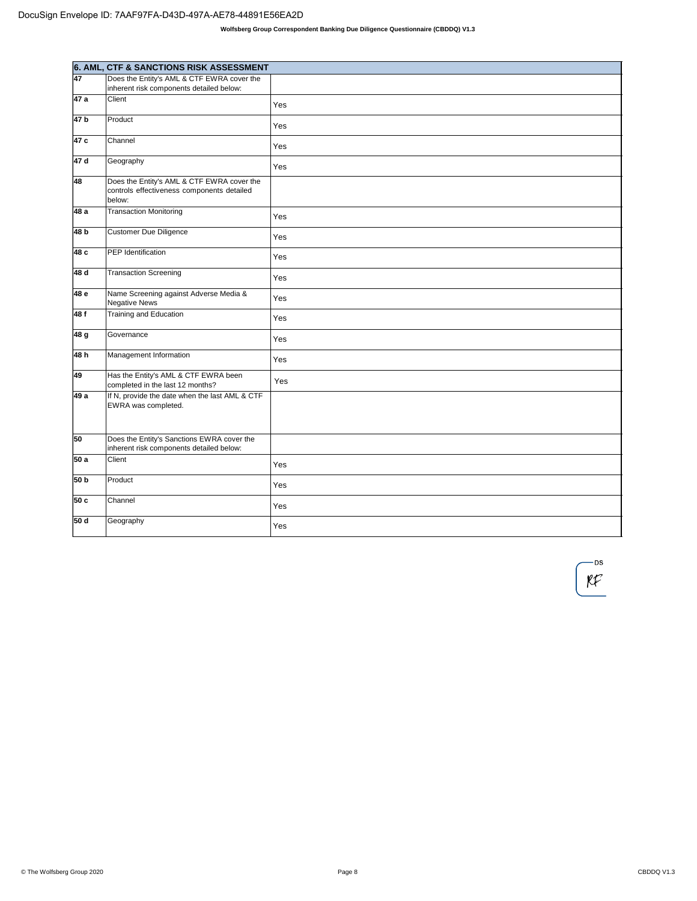|                 | 6. AML, CTF & SANCTIONS RISK ASSESSMENT                                                            |     |
|-----------------|----------------------------------------------------------------------------------------------------|-----|
| 47              | Does the Entity's AML & CTF EWRA cover the<br>inherent risk components detailed below:             |     |
| 47 a            | Client                                                                                             | Yes |
| 47 <sub>b</sub> | Product                                                                                            | Yes |
| 47 c            | Channel                                                                                            | Yes |
| 47 d            | Geography                                                                                          | Yes |
| 48              | Does the Entity's AML & CTF EWRA cover the<br>controls effectiveness components detailed<br>below: |     |
| 48 a            | <b>Transaction Monitoring</b>                                                                      | Yes |
| 48 b            | Customer Due Diligence                                                                             | Yes |
| 48 c            | PEP Identification                                                                                 | Yes |
| 48 d            | <b>Transaction Screening</b>                                                                       | Yes |
| 48 e            | Name Screening against Adverse Media &<br>Negative News                                            | Yes |
| 48 f            | Training and Education                                                                             | Yes |
| 48 g            | Governance                                                                                         | Yes |
| 48 h            | Management Information                                                                             | Yes |
| 49              | Has the Entity's AML & CTF EWRA been<br>completed in the last 12 months?                           | Yes |
| 49 a            | If N, provide the date when the last AML & CTF<br>EWRA was completed.                              |     |
| 50              | Does the Entity's Sanctions EWRA cover the<br>inherent risk components detailed below:             |     |
| 50 a            | Client                                                                                             | Yes |
| 50 b            | Product                                                                                            | Yes |
| 50c             | Channel                                                                                            | Yes |
| 50 d            | Geography                                                                                          | Yes |

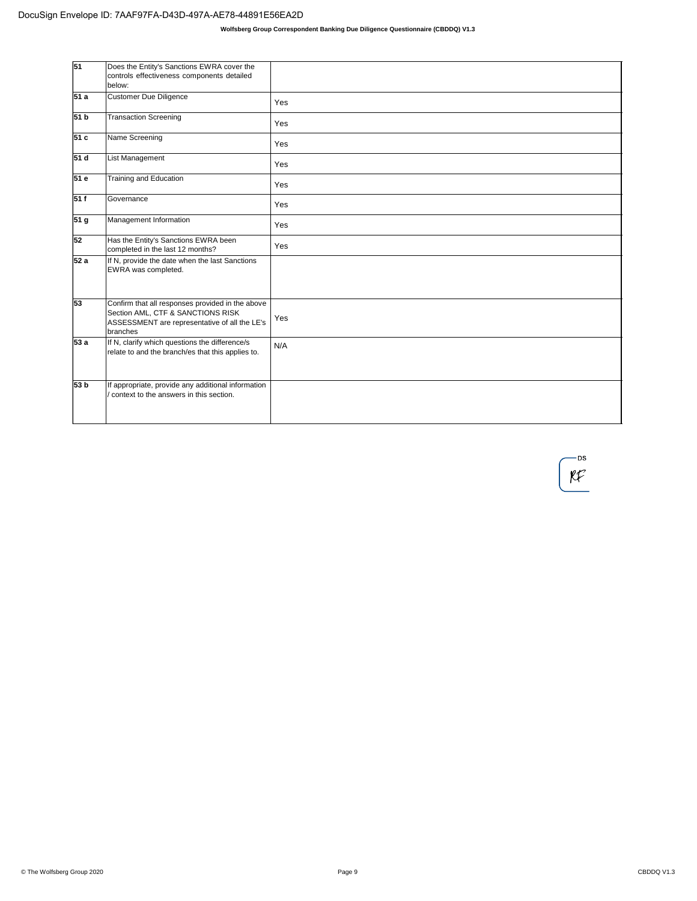| $\overline{51}$ | Does the Entity's Sanctions EWRA cover the<br>controls effectiveness components detailed<br>below:                                                 |     |
|-----------------|----------------------------------------------------------------------------------------------------------------------------------------------------|-----|
| 51 a            | <b>Customer Due Diligence</b>                                                                                                                      | Yes |
| 51 <sub>b</sub> | <b>Transaction Screening</b>                                                                                                                       | Yes |
| 51 c            | Name Screening                                                                                                                                     | Yes |
| 51 d            | List Management                                                                                                                                    | Yes |
| 51 e            | Training and Education                                                                                                                             | Yes |
| 51f             | Governance                                                                                                                                         | Yes |
| 51 <sub>g</sub> | Management Information                                                                                                                             | Yes |
| 52              | Has the Entity's Sanctions EWRA been<br>completed in the last 12 months?                                                                           | Yes |
| 52a             | If N, provide the date when the last Sanctions<br>EWRA was completed.                                                                              |     |
| 53              | Confirm that all responses provided in the above<br>Section AML, CTF & SANCTIONS RISK<br>ASSESSMENT are representative of all the LE's<br>branches | Yes |
| 53 a            | If N, clarify which questions the difference/s<br>relate to and the branch/es that this applies to.                                                | N/A |
| 53 b            | If appropriate, provide any additional information<br>context to the answers in this section.                                                      |     |

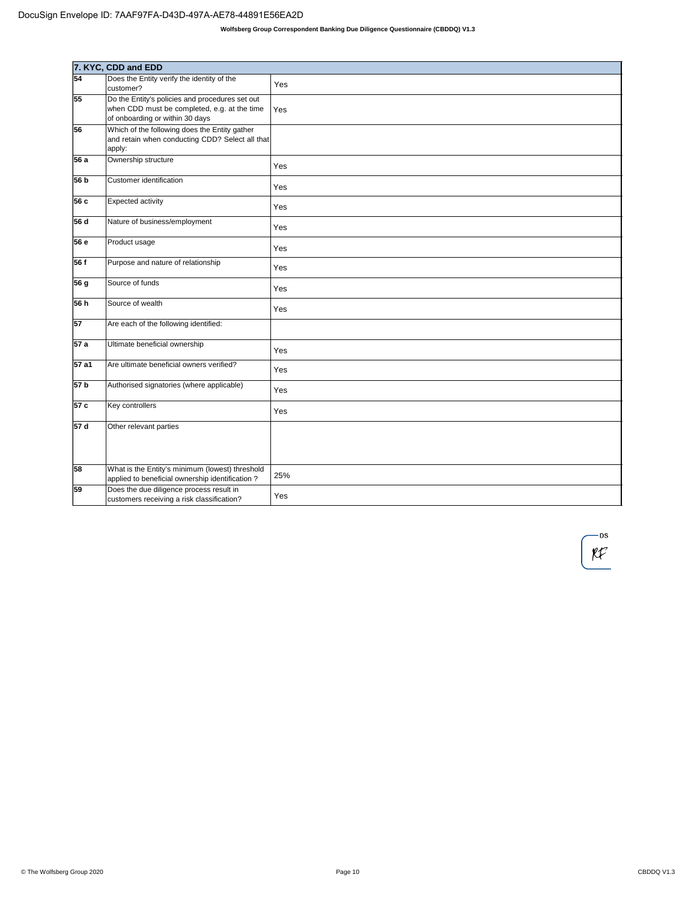|                 | 7. KYC, CDD and EDD                                                                                                                |     |
|-----------------|------------------------------------------------------------------------------------------------------------------------------------|-----|
| 54              | Does the Entity verify the identity of the<br>customer?                                                                            | Yes |
| 55              | Do the Entity's policies and procedures set out<br>when CDD must be completed, e.g. at the time<br>of onboarding or within 30 days | Yes |
| 56              | Which of the following does the Entity gather<br>and retain when conducting CDD? Select all that<br>apply:                         |     |
| 56 a            | Ownership structure                                                                                                                | Yes |
| 56 b            | Customer identification                                                                                                            | Yes |
| 56 с            | Expected activity                                                                                                                  | Yes |
| 56d             | Nature of business/employment                                                                                                      | Yes |
| 56 e            | Product usage                                                                                                                      | Yes |
| 56 f            | Purpose and nature of relationship                                                                                                 | Yes |
| 56 g            | Source of funds                                                                                                                    | Yes |
| 56 h            | Source of wealth                                                                                                                   | Yes |
| $\overline{57}$ | Are each of the following identified:                                                                                              |     |
| 57a             | Ultimate beneficial ownership                                                                                                      | Yes |
| 57 a1           | Are ultimate beneficial owners verified?                                                                                           | Yes |
| 57 <sub>b</sub> | Authorised signatories (where applicable)                                                                                          | Yes |
| 57 c            | Key controllers                                                                                                                    | Yes |
| 57 d            | Other relevant parties                                                                                                             |     |
| 58              | What is the Entity's minimum (lowest) threshold<br>applied to beneficial ownership identification?                                 | 25% |
| 59              | Does the due diligence process result in<br>customers receiving a risk classification?                                             | Yes |

— DS  $RF$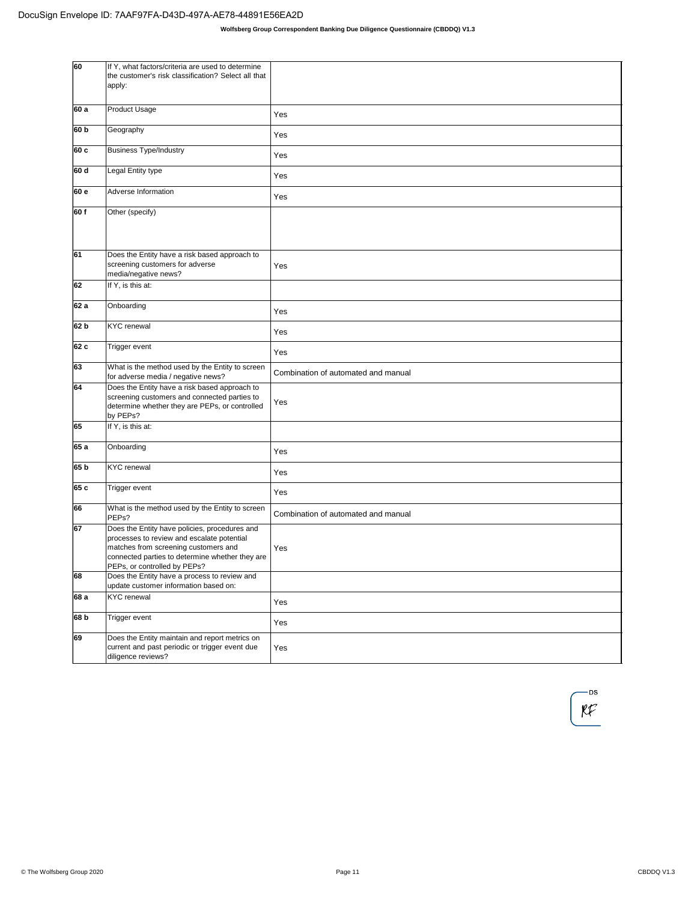| 60              | If Y, what factors/criteria are used to determine<br>the customer's risk classification? Select all that<br>apply:                                                                                                     |                                     |
|-----------------|------------------------------------------------------------------------------------------------------------------------------------------------------------------------------------------------------------------------|-------------------------------------|
| 60 a            | Product Usage                                                                                                                                                                                                          | Yes                                 |
| 60 b            | Geography                                                                                                                                                                                                              | Yes                                 |
| 60 c            | <b>Business Type/Industry</b>                                                                                                                                                                                          | Yes                                 |
| 60 d            | Legal Entity type                                                                                                                                                                                                      | Yes                                 |
| 60 e            | Adverse Information                                                                                                                                                                                                    | Yes                                 |
| 60f             | Other (specify)                                                                                                                                                                                                        |                                     |
| 61              | Does the Entity have a risk based approach to<br>screening customers for adverse<br>media/negative news?                                                                                                               | Yes                                 |
| 62              | If Y, is this at:                                                                                                                                                                                                      |                                     |
| 62 a            | Onboarding                                                                                                                                                                                                             | Yes                                 |
| 62 b            | <b>KYC</b> renewal                                                                                                                                                                                                     | Yes                                 |
| 62 c            | Trigger event                                                                                                                                                                                                          | Yes                                 |
| 63              | What is the method used by the Entity to screen<br>for adverse media / negative news?                                                                                                                                  | Combination of automated and manual |
| 64              | Does the Entity have a risk based approach to<br>screening customers and connected parties to<br>determine whether they are PEPs, or controlled<br>by PEPs?                                                            | Yes                                 |
| 65              | If Y, is this at:                                                                                                                                                                                                      |                                     |
| 65 a            | Onboarding                                                                                                                                                                                                             | Yes                                 |
| 65 b            | <b>KYC</b> renewal                                                                                                                                                                                                     | Yes                                 |
| 65 c            | Trigger event                                                                                                                                                                                                          | Yes                                 |
| 66              | What is the method used by the Entity to screen<br>PEP <sub>s?</sub>                                                                                                                                                   | Combination of automated and manual |
| 67              | Does the Entity have policies, procedures and<br>processes to review and escalate potential<br>matches from screening customers and<br>connected parties to determine whether they are<br>PEPs, or controlled by PEPs? | Yes                                 |
| 68              | Does the Entity have a process to review and<br>update customer information based on:                                                                                                                                  |                                     |
| 68 a            | <b>KYC</b> renewal                                                                                                                                                                                                     | Yes                                 |
| 68 <sub>b</sub> | Trigger event                                                                                                                                                                                                          | Yes                                 |
| 69              | Does the Entity maintain and report metrics on<br>current and past periodic or trigger event due<br>diligence reviews?                                                                                                 | Yes                                 |

-DS  $\mathfrak{K}$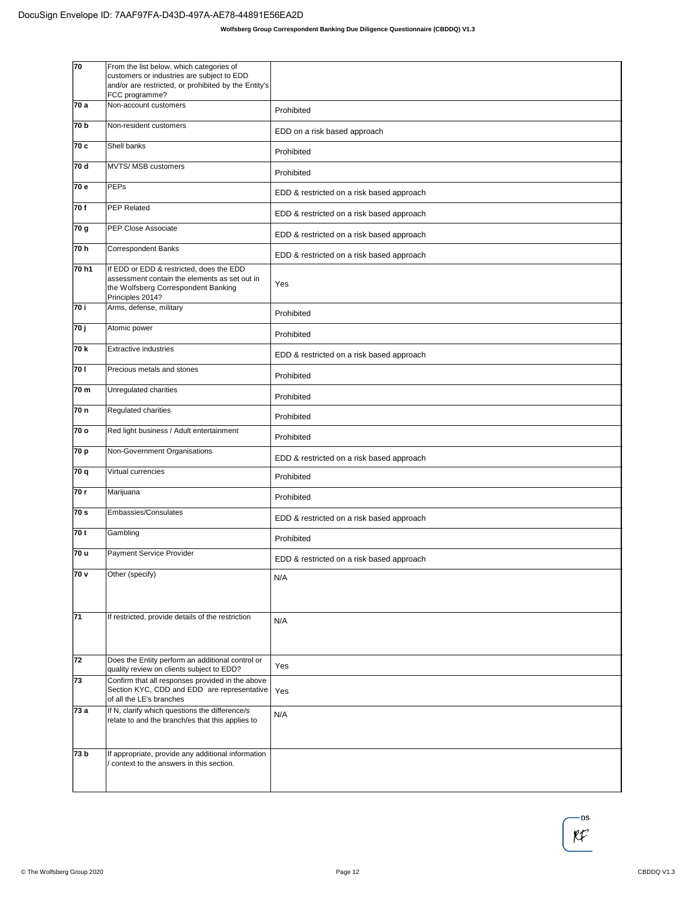| 70    | From the list below, which categories of<br>customers or industries are subject to EDD<br>and/or are restricted, or prohibited by the Entity's<br>FCC programme? |                                           |
|-------|------------------------------------------------------------------------------------------------------------------------------------------------------------------|-------------------------------------------|
| 70 a  | Non-account customers                                                                                                                                            | Prohibited                                |
| 70 b  | Non-resident customers                                                                                                                                           | EDD on a risk based approach              |
| 70 c  | Shell banks                                                                                                                                                      | Prohibited                                |
| 70 d  | MVTS/ MSB customers                                                                                                                                              | Prohibited                                |
| 70 e  | PEPs                                                                                                                                                             | EDD & restricted on a risk based approach |
| 70f   | PEP Related                                                                                                                                                      | EDD & restricted on a risk based approach |
| 70 g  | PEP Close Associate                                                                                                                                              | EDD & restricted on a risk based approach |
| 70 h  | Correspondent Banks                                                                                                                                              | EDD & restricted on a risk based approach |
| 70 h1 | If EDD or EDD & restricted, does the EDD<br>assessment contain the elements as set out in<br>the Wolfsberg Correspondent Banking<br>Principles 2014?             | Yes                                       |
| 70 i  | Arms, defense, military                                                                                                                                          | Prohibited                                |
| 70 j  | Atomic power                                                                                                                                                     | Prohibited                                |
| 70k   | <b>Extractive industries</b>                                                                                                                                     | EDD & restricted on a risk based approach |
| 70 I  | Precious metals and stones                                                                                                                                       | Prohibited                                |
| 70 m  | Unregulated charities                                                                                                                                            | Prohibited                                |
| 70 n  | Regulated charities                                                                                                                                              | Prohibited                                |
| 70 o  | Red light business / Adult entertainment                                                                                                                         | Prohibited                                |
| 70 p  | Non-Government Organisations                                                                                                                                     | EDD & restricted on a risk based approach |
| 70 q  | Virtual currencies                                                                                                                                               | Prohibited                                |
| 70 r  | Marijuana                                                                                                                                                        | Prohibited                                |
| 70 s  | Embassies/Consulates                                                                                                                                             | EDD & restricted on a risk based approach |
| 70 t  | Gambling                                                                                                                                                         | Prohibited                                |
| 70 u  | Payment Service Provider                                                                                                                                         | EDD & restricted on a risk based approach |
| 70v   | Other (specify)                                                                                                                                                  | N/A                                       |
| 71    | If restricted, provide details of the restriction                                                                                                                | N/A                                       |
| 72    | Does the Entity perform an additional control or<br>quality review on clients subject to EDD?                                                                    | Yes                                       |
| 73    | Confirm that all responses provided in the above<br>Section KYC, CDD and EDD are representative<br>of all the LE's branches                                      | Yes                                       |
| 73 a  | If N, clarify which questions the difference/s<br>relate to and the branch/es that this applies to                                                               | N/A                                       |
| 73 b  | If appropriate, provide any additional information<br>/ context to the answers in this section.                                                                  |                                           |

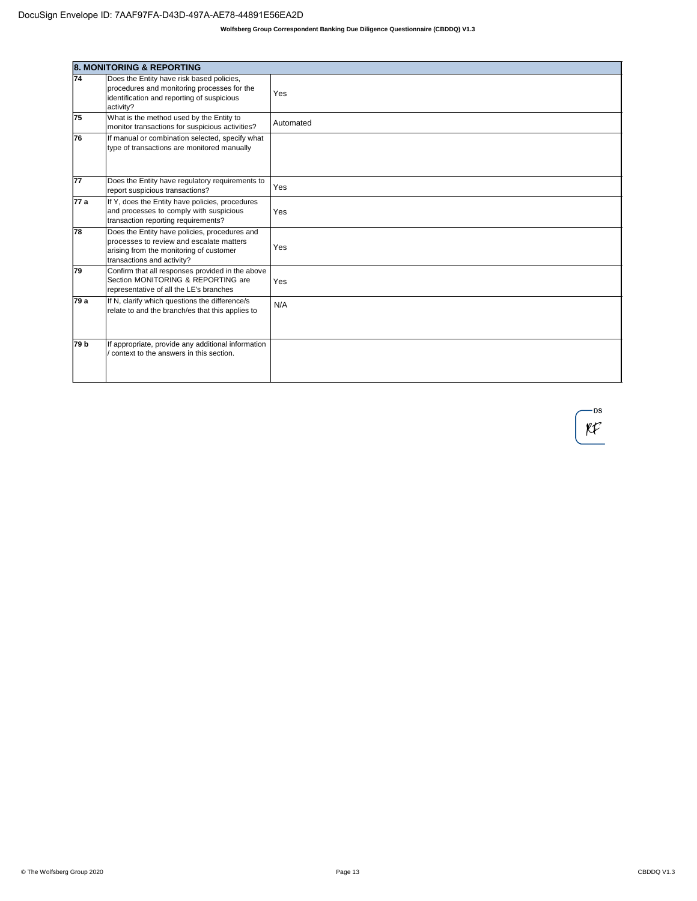|      | <b>8. MONITORING &amp; REPORTING</b>                                                                                                                               |           |
|------|--------------------------------------------------------------------------------------------------------------------------------------------------------------------|-----------|
| 74   | Does the Entity have risk based policies,<br>procedures and monitoring processes for the<br>identification and reporting of suspicious<br>activity?                | Yes       |
| 75   | What is the method used by the Entity to<br>monitor transactions for suspicious activities?                                                                        | Automated |
| 76   | If manual or combination selected, specify what<br>type of transactions are monitored manually                                                                     |           |
| 77   | Does the Entity have regulatory requirements to<br>report suspicious transactions?                                                                                 | Yes       |
| 77 a | If Y, does the Entity have policies, procedures<br>and processes to comply with suspicious<br>transaction reporting requirements?                                  | Yes       |
| 78   | Does the Entity have policies, procedures and<br>processes to review and escalate matters<br>arising from the monitoring of customer<br>transactions and activity? | Yes       |
| 79   | Confirm that all responses provided in the above<br>Section MONITORING & REPORTING are<br>representative of all the LE's branches                                  | Yes       |
| 79 a | If N, clarify which questions the difference/s<br>relate to and the branch/es that this applies to                                                                 | N/A       |
| 79 b | If appropriate, provide any additional information<br>context to the answers in this section.                                                                      |           |

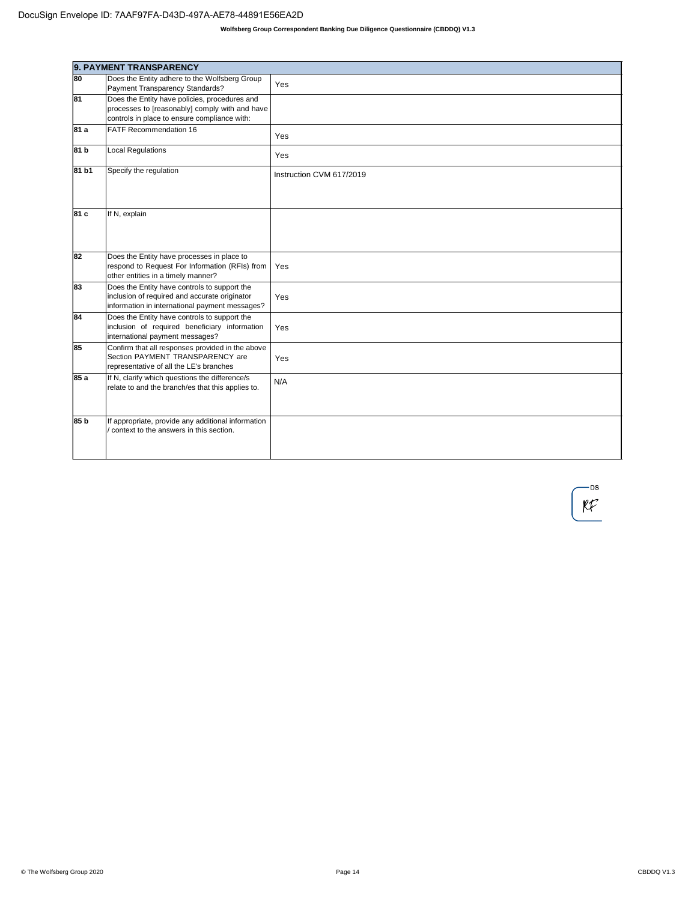|       | 9. PAYMENT TRANSPARENCY                                                                                                                         |                          |
|-------|-------------------------------------------------------------------------------------------------------------------------------------------------|--------------------------|
| 80    | Does the Entity adhere to the Wolfsberg Group<br>Payment Transparency Standards?                                                                | Yes                      |
| 81    | Does the Entity have policies, procedures and<br>processes to [reasonably] comply with and have<br>controls in place to ensure compliance with: |                          |
| 81 a  | <b>FATF Recommendation 16</b>                                                                                                                   | Yes                      |
| 81 b  | <b>Local Regulations</b>                                                                                                                        | Yes                      |
| 81 b1 | Specify the regulation                                                                                                                          | Instruction CVM 617/2019 |
| 81 c  | If N, explain                                                                                                                                   |                          |
| 82    | Does the Entity have processes in place to<br>respond to Request For Information (RFIs) from<br>other entities in a timely manner?              | Yes                      |
| 83    | Does the Entity have controls to support the<br>inclusion of required and accurate originator<br>information in international payment messages? | Yes                      |
| 84    | Does the Entity have controls to support the<br>inclusion of required beneficiary information<br>international payment messages?                | Yes                      |
| 85    | Confirm that all responses provided in the above<br>Section PAYMENT TRANSPARENCY are<br>representative of all the LE's branches                 | Yes                      |
| 85 a  | If N, clarify which questions the difference/s<br>relate to and the branch/es that this applies to.                                             | N/A                      |
| 85 b  | If appropriate, provide any additional information<br>context to the answers in this section.                                                   |                          |

-DS  $\mathcal{K}$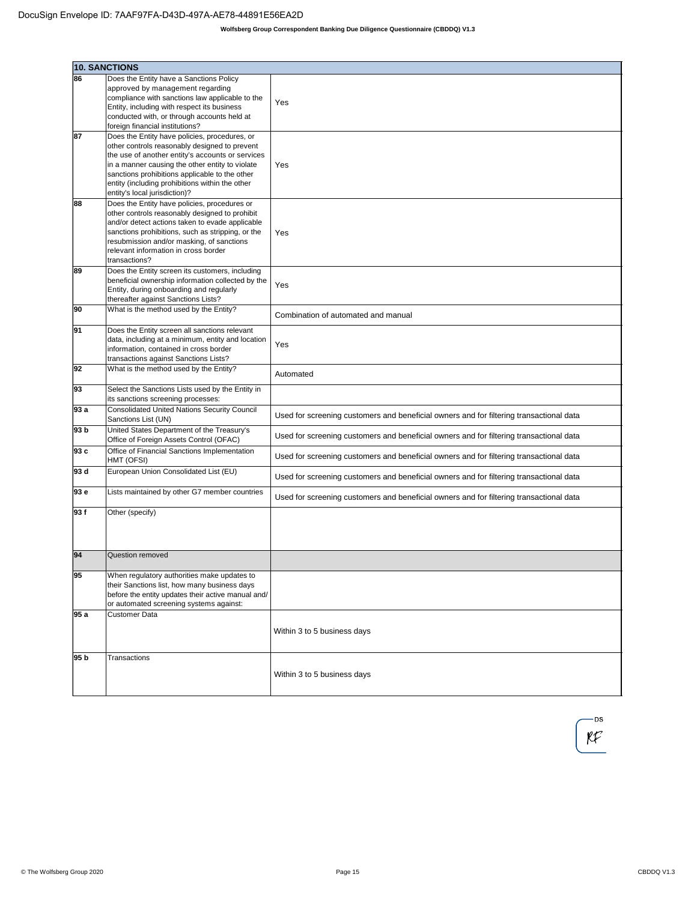|      | <b>10. SANCTIONS</b>                                                                               |                                                                                         |
|------|----------------------------------------------------------------------------------------------------|-----------------------------------------------------------------------------------------|
| 86   | Does the Entity have a Sanctions Policy                                                            |                                                                                         |
|      | approved by management regarding                                                                   |                                                                                         |
|      | compliance with sanctions law applicable to the                                                    | Yes                                                                                     |
|      | Entity, including with respect its business                                                        |                                                                                         |
|      | conducted with, or through accounts held at<br>foreign financial institutions?                     |                                                                                         |
| 87   | Does the Entity have policies, procedures, or                                                      |                                                                                         |
|      | other controls reasonably designed to prevent                                                      |                                                                                         |
|      | the use of another entity's accounts or services                                                   |                                                                                         |
|      | in a manner causing the other entity to violate                                                    | Yes                                                                                     |
|      | sanctions prohibitions applicable to the other<br>entity (including prohibitions within the other  |                                                                                         |
|      | entity's local jurisdiction)?                                                                      |                                                                                         |
| 88   | Does the Entity have policies, procedures or                                                       |                                                                                         |
|      | other controls reasonably designed to prohibit                                                     |                                                                                         |
|      | and/or detect actions taken to evade applicable                                                    |                                                                                         |
|      | sanctions prohibitions, such as stripping, or the<br>resubmission and/or masking, of sanctions     | Yes                                                                                     |
|      | relevant information in cross border                                                               |                                                                                         |
|      | transactions?                                                                                      |                                                                                         |
| 89   | Does the Entity screen its customers, including                                                    |                                                                                         |
|      | beneficial ownership information collected by the<br>Entity, during onboarding and regularly       | Yes                                                                                     |
|      | thereafter against Sanctions Lists?                                                                |                                                                                         |
| 90   | What is the method used by the Entity?                                                             |                                                                                         |
|      |                                                                                                    | Combination of automated and manual                                                     |
| 91   | Does the Entity screen all sanctions relevant                                                      |                                                                                         |
|      | data, including at a minimum, entity and location<br>information, contained in cross border        | Yes                                                                                     |
|      | transactions against Sanctions Lists?                                                              |                                                                                         |
| 92   | What is the method used by the Entity?                                                             |                                                                                         |
|      |                                                                                                    | Automated                                                                               |
| 93   | Select the Sanctions Lists used by the Entity in<br>its sanctions screening processes:             |                                                                                         |
| 93 a | <b>Consolidated United Nations Security Council</b>                                                |                                                                                         |
|      | Sanctions List (UN)                                                                                | Used for screening customers and beneficial owners and for filtering transactional data |
| 93 b | United States Department of the Treasury's                                                         |                                                                                         |
|      | Office of Foreign Assets Control (OFAC)                                                            | Used for screening customers and beneficial owners and for filtering transactional data |
| 93 c | Office of Financial Sanctions Implementation<br>HMT (OFSI)                                         | Used for screening customers and beneficial owners and for filtering transactional data |
| 93 d | European Union Consolidated List (EU)                                                              |                                                                                         |
|      |                                                                                                    | Used for screening customers and beneficial owners and for filtering transactional data |
| 93 e | Lists maintained by other G7 member countries                                                      |                                                                                         |
|      |                                                                                                    | Used for screening customers and beneficial owners and for filtering transactional data |
| 93f  | Other (specify)                                                                                    |                                                                                         |
|      |                                                                                                    |                                                                                         |
|      |                                                                                                    |                                                                                         |
| 94   | Question removed                                                                                   |                                                                                         |
|      |                                                                                                    |                                                                                         |
| 95   | When regulatory authorities make updates to                                                        |                                                                                         |
|      | their Sanctions list, how many business days<br>before the entity updates their active manual and/ |                                                                                         |
|      | or automated screening systems against:                                                            |                                                                                         |
| 95 a | Customer Data                                                                                      |                                                                                         |
|      |                                                                                                    |                                                                                         |
|      |                                                                                                    | Within 3 to 5 business days                                                             |
|      |                                                                                                    |                                                                                         |
| 95 b | Transactions                                                                                       |                                                                                         |
|      |                                                                                                    | Within 3 to 5 business days                                                             |
|      |                                                                                                    |                                                                                         |

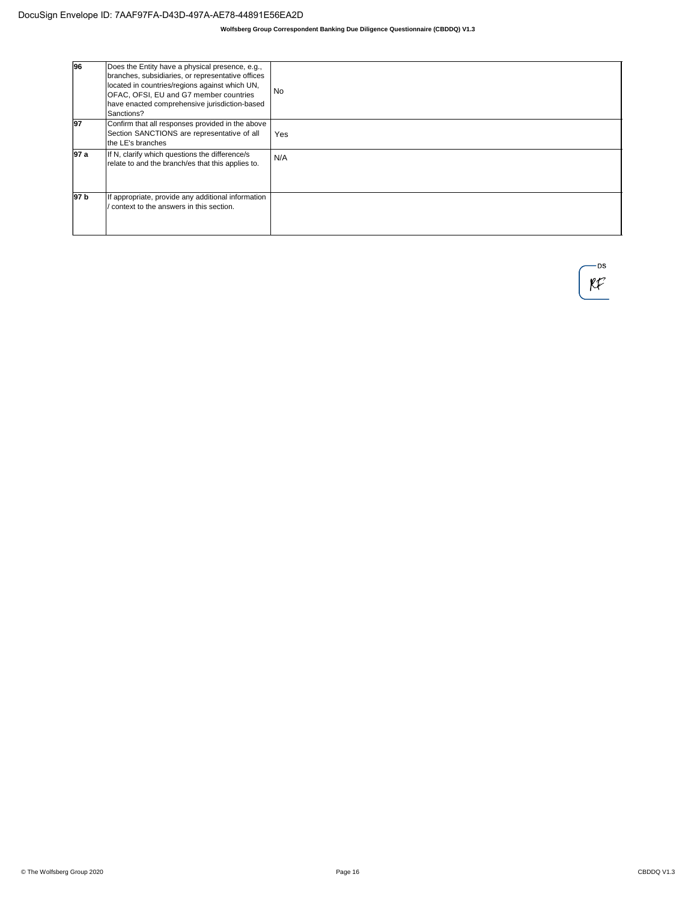| 96              | Does the Entity have a physical presence, e.g.,<br>branches, subsidiaries, or representative offices<br>located in countries/regions against which UN,<br>OFAC, OFSI, EU and G7 member countries<br>have enacted comprehensive jurisdiction-based<br>Sanctions? | <b>No</b> |
|-----------------|-----------------------------------------------------------------------------------------------------------------------------------------------------------------------------------------------------------------------------------------------------------------|-----------|
| 197             | Confirm that all responses provided in the above<br>Section SANCTIONS are representative of all<br>the LE's branches                                                                                                                                            | Yes       |
| 197 a           | If N, clarify which questions the difference/s<br>relate to and the branch/es that this applies to.                                                                                                                                                             | N/A       |
| 97 <sub>b</sub> | If appropriate, provide any additional information<br>context to the answers in this section.                                                                                                                                                                   |           |

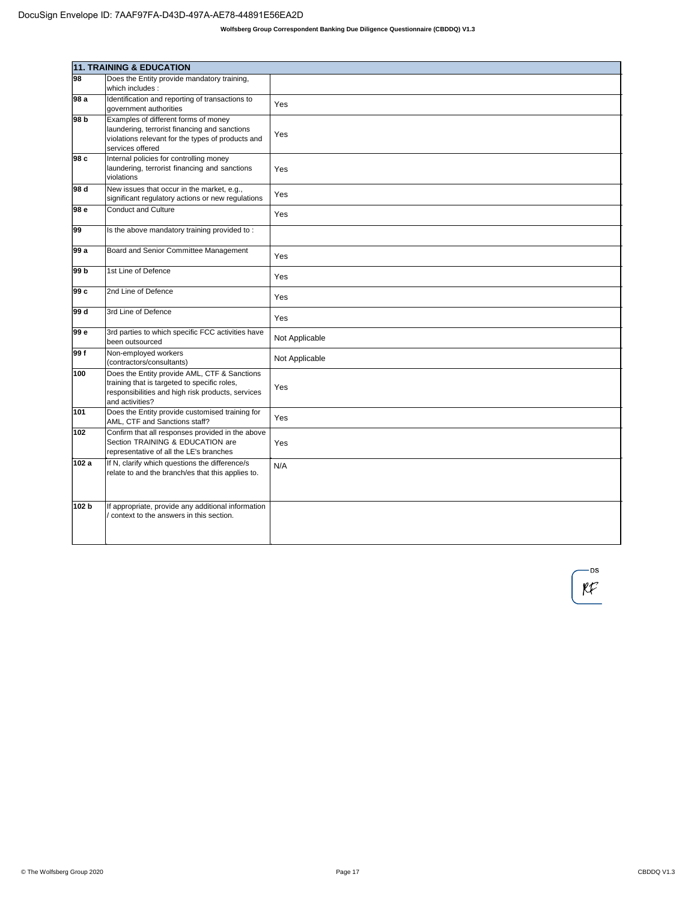|       | <b>11. TRAINING &amp; EDUCATION</b>                                                                                                                                  |                |
|-------|----------------------------------------------------------------------------------------------------------------------------------------------------------------------|----------------|
| 98    | Does the Entity provide mandatory training,<br>which includes:                                                                                                       |                |
| 98 a  | Identification and reporting of transactions to<br>government authorities                                                                                            | Yes            |
| 98 b  | Examples of different forms of money<br>laundering, terrorist financing and sanctions<br>violations relevant for the types of products and<br>services offered       | Yes            |
| 98 c  | Internal policies for controlling money<br>laundering, terrorist financing and sanctions<br>violations                                                               | Yes            |
| l98 d | New issues that occur in the market, e.g.,<br>significant regulatory actions or new regulations                                                                      | Yes            |
| 98 e  | <b>Conduct and Culture</b>                                                                                                                                           | Yes            |
| 99    | Is the above mandatory training provided to:                                                                                                                         |                |
| l99 a | Board and Senior Committee Management                                                                                                                                | Yes            |
| 99 b  | 1st Line of Defence                                                                                                                                                  | Yes            |
| 99 c  | 2nd Line of Defence                                                                                                                                                  | Yes            |
| 99 d  | 3rd Line of Defence                                                                                                                                                  | Yes            |
| 99 e  | 3rd parties to which specific FCC activities have<br>been outsourced                                                                                                 | Not Applicable |
| 99 f  | Non-employed workers<br>(contractors/consultants)                                                                                                                    | Not Applicable |
| 100   | Does the Entity provide AML, CTF & Sanctions<br>training that is targeted to specific roles,<br>responsibilities and high risk products, services<br>and activities? | Yes            |
| 101   | Does the Entity provide customised training for<br>AML, CTF and Sanctions staff?                                                                                     | Yes            |
| 102   | Confirm that all responses provided in the above<br>Section TRAINING & EDUCATION are<br>representative of all the LE's branches                                      | Yes            |
| 102 a | If N, clarify which questions the difference/s<br>relate to and the branch/es that this applies to.                                                                  | N/A            |
| 102 b | If appropriate, provide any additional information<br>context to the answers in this section.                                                                        |                |

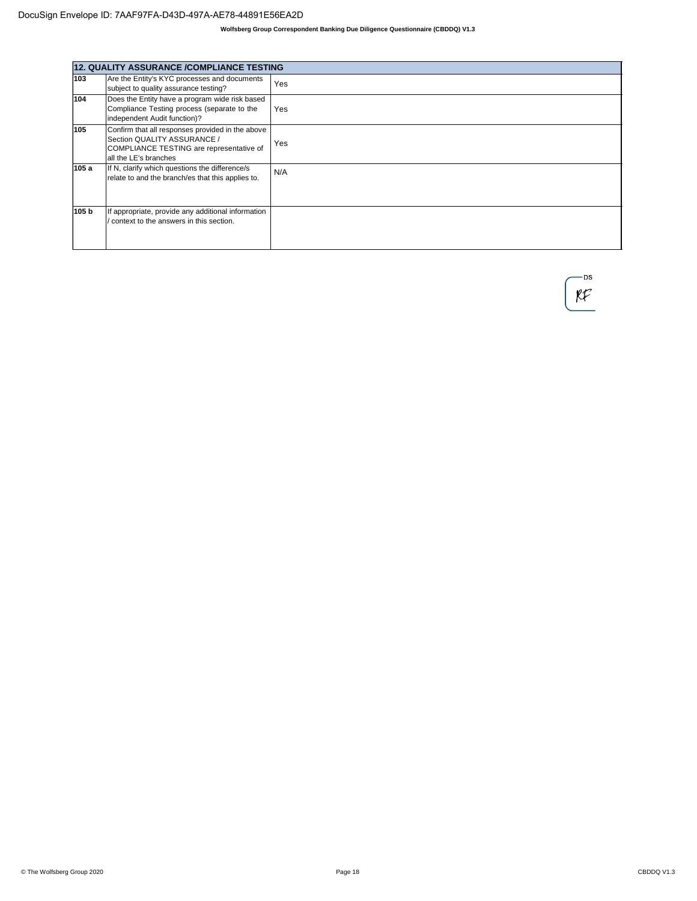|       | <b>12. QUALITY ASSURANCE /COMPLIANCE TESTING</b>                                                                                                     |     |
|-------|------------------------------------------------------------------------------------------------------------------------------------------------------|-----|
| 103   | Are the Entity's KYC processes and documents<br>subject to quality assurance testing?                                                                | Yes |
| 104   | Does the Entity have a program wide risk based<br>Compliance Testing process (separate to the<br>independent Audit function)?                        | Yes |
| 105   | Confirm that all responses provided in the above<br>Section QUALITY ASSURANCE /<br>COMPLIANCE TESTING are representative of<br>all the LE's branches | Yes |
| 105 a | If N, clarify which questions the difference/s<br>relate to and the branch/es that this applies to.                                                  | N/A |
| 105 b | If appropriate, provide any additional information<br>context to the answers in this section.                                                        |     |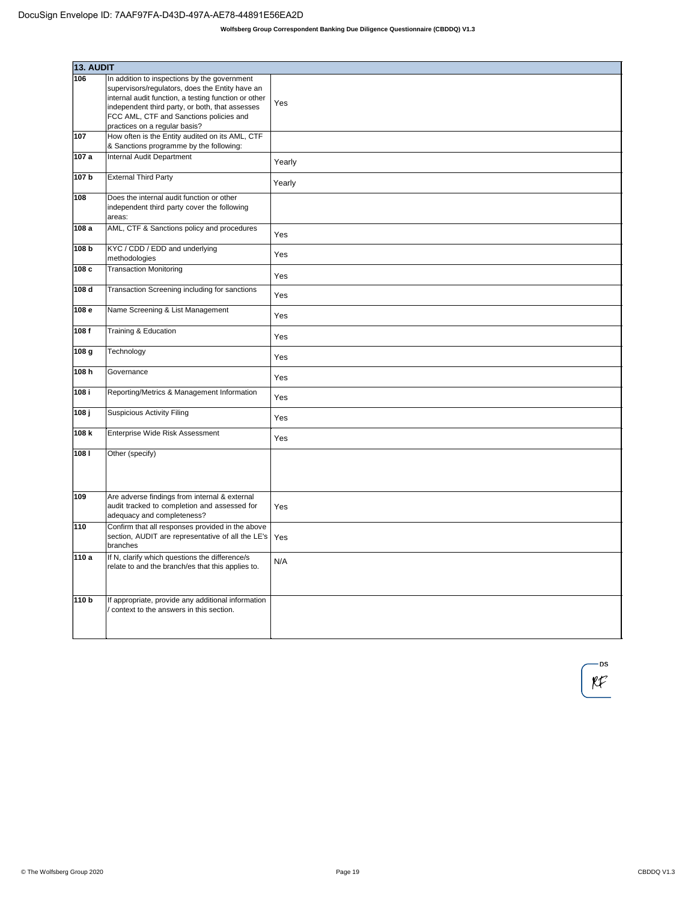| 13. AUDIT        |                                                                                                                                                                                                                                        |        |
|------------------|----------------------------------------------------------------------------------------------------------------------------------------------------------------------------------------------------------------------------------------|--------|
| 106              | In addition to inspections by the government                                                                                                                                                                                           |        |
|                  | supervisors/regulators, does the Entity have an<br>internal audit function, a testing function or other<br>independent third party, or both, that assesses<br>FCC AML, CTF and Sanctions policies and<br>practices on a regular basis? | Yes    |
| 107              | How often is the Entity audited on its AML, CTF<br>& Sanctions programme by the following:                                                                                                                                             |        |
| 107 a            | Internal Audit Department                                                                                                                                                                                                              | Yearly |
| 107 b            | <b>External Third Party</b>                                                                                                                                                                                                            | Yearly |
| 108              | Does the internal audit function or other<br>independent third party cover the following<br>areas:                                                                                                                                     |        |
| 108 a            | AML, CTF & Sanctions policy and procedures                                                                                                                                                                                             | Yes    |
| 108 <sub>b</sub> | KYC / CDD / EDD and underlying<br>methodologies                                                                                                                                                                                        | Yes    |
| 108c             | <b>Transaction Monitoring</b>                                                                                                                                                                                                          | Yes    |
| 108d             | Transaction Screening including for sanctions                                                                                                                                                                                          | Yes    |
| 108e             | Name Screening & List Management                                                                                                                                                                                                       | Yes    |
| 108f             | Training & Education                                                                                                                                                                                                                   | Yes    |
| 108 <sub>g</sub> | Technology                                                                                                                                                                                                                             | Yes    |
| 108h             | Governance                                                                                                                                                                                                                             | Yes    |
| 108 i            | Reporting/Metrics & Management Information                                                                                                                                                                                             | Yes    |
| 108j             | <b>Suspicious Activity Filing</b>                                                                                                                                                                                                      | Yes    |
| 108k             | Enterprise Wide Risk Assessment                                                                                                                                                                                                        | Yes    |
| 1081             | Other (specify)                                                                                                                                                                                                                        |        |
| 109              | Are adverse findings from internal & external<br>audit tracked to completion and assessed for<br>adequacy and completeness?                                                                                                            | Yes    |
| 110              | Confirm that all responses provided in the above<br>section, AUDIT are representative of all the LE's<br>branches                                                                                                                      | Yes    |
| 110 a            | If N, clarify which questions the difference/s<br>relate to and the branch/es that this applies to.                                                                                                                                    | N/A    |
| 110 b            | If appropriate, provide any additional information<br>context to the answers in this section.                                                                                                                                          |        |